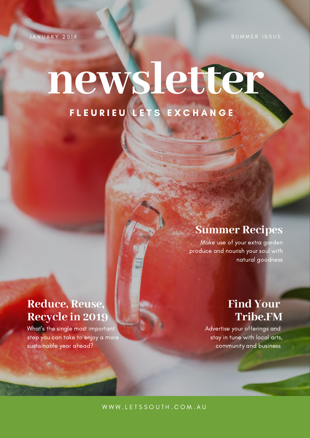A N U A R Y 2019

# **newsletter** F L E U R I E U L E T S E X C H A N G E

# **Summer Recipes**

Make use of your extra garden produce and nourish your soul with natural goodness

# **Reduce, Reuse, Recycle in 2019**

What's the single most important step you can take to enjoy a more sustainable year ahead?

# **Find Your Tribe.FM**

Advertise your offerings and stay in tune with local arts, community and business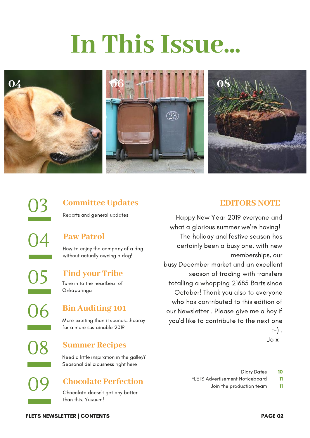# **In This Issue...**



# **Committee Updates**

Reports and general updates

### **Paw Patrol**

How to enjoy the company of a dog without actually owning a dog!

### **Find your Tribe**

Tune in to the heartbeat of Onkaparinga

### **Bin Auditing 101**

More exciting than it sounds...hooray for a more sustainable 2019

### **Summer Recipes**

Need a little inspiration in the galley? Seasonal deliciousness right here

### **Chocolate Perfection**

Chocolate doesn't get any better than this. Yuuuum!

### **EDITORS NOTE**

Happy New Year 2019 everyone and what a glorious summer we're having! The holiday and festive season has certainly been a busy one, with new memberships, our busy December market and an excellent season of trading with transfers totalling a whopping 21685 Barts since October! Thank you also to everyone who has contributed to this edition of our Newsletter . Please give me a hoy if you'd like to contribute to the next one

 $:-)$ .

Jo x

- 10 Diary Dates
- 11 FLETS Advertisement Noticeboard
	- 11 Join the production team

FLETS NEWSLETTER | CONTENTS PAGE 02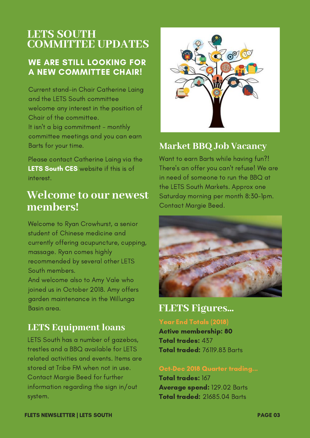# **LETS SOUTH COMMITTEE UPDATES**

## WE ARE STILL LOOKING FOR A NEW COMMITTEE CHAIR!

Current stand-in Chair Catherine Laing and the LETS South committee welcome any interest in the position of Chair of the committee. It isn't a big [commitment](https://www.communityexchange.net.au/) - monthly

committee meetings and you can earn Barts for your time.

Please contact [Catherine](https://www.communityexchange.net.au/) Laing via the LETS South CES website if this is of interest.

# **Welcome to our newest members!**

Welcome to Ryan Crowhurst, a senior student of Chinese medicine and currently offering acupuncture, cupping, massage. Ryan comes highly recommended by several other LETS South members. And welcome also to Amy Vale who joined us in October 2018. Amy offers garden maintenance in the Willunga

# **LETS Equipment loans**

Basin area.

LETS South has a number of gazebos, trestles and a BBQ available for LETS related activities and events. Items are stored at Tribe FM when not in use. Contact Margie Beed for further information regarding the sign in/out system.



# **Market BBQ Job Vacancy**

Want to earn Barts while having fun?! There's an offer you can't refuse! We are in need of someone to run the BBQ at the LETS South Markets. Approx one Saturday morning per month 8:30-1pm. Contact Margie Beed.



**FLETS Figures...**

Year End Totals (2018)

Active membership: 80 Total trades: 437 Total traded: 76119.83 Barts

#### Oct-Dec 2018 Quarter trading...

Total trades: 167 Average spend: 129.02 Barts Total traded: 21685.04 Barts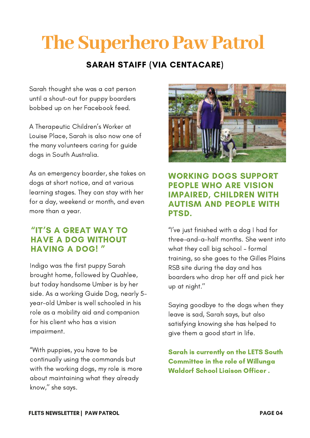# **The Superhero Paw Patrol**

# SARAH STAIFF (VIA CENTACARE)

Sarah thought she was a cat person until a shout-out for puppy boarders bobbed up on her Facebook feed.

A Therapeutic Children's Worker at Louise Place, Sarah is also now one of the many volunteers caring for guide dogs in South Australia.

As an emergency boarder, she takes on dogs at short notice, and at various learning stages. They can stay with her for a day, weekend or month, and even more than a year.

### "IT'S A GREAT WAY TO HAVE A DOG WITHOUT HAVING A DOG! "

Indigo was the first puppy Sarah brought home, followed by Quahlee, but today handsome Umber is by her side. As a working Guide Dog, nearly 5 year-old Umber is well schooled in his role as a mobility aid and companion for his client who has a vision [impairment.](https://yldist.com/beadykunz)

"With puppies, you have to be continually using the commands but with the working dogs, my role is more about maintaining what they already know,'' she says.



WORKING DOGS SUPPORT PEOPLE WHO ARE VISION IMPAIRED, CHILDREN WITH AUTISM AND PEOPLE WITH PTSD.

"I've just finished with a dog I had for three-and-a-half months. She went into what they call big school – formal training, so she goes to the Gilles Plains RSB site during the day and has boarders who drop her off and pick her up at night.''

Saying goodbye to the dogs when they leave is sad, Sarah says, but also satisfying knowing she has helped to give them a good start in life.

Sarah is currently on the LETS South Committee in the role of Willunga Waldorf School Liaison Officer .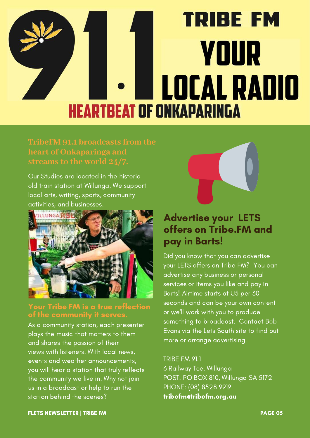# **TRIBE FM YOUR LOCAL RADIO HEARTBEAT OF ONKAPARINGA**

Our Studios are located in the historic old train station at Willunga. We support local arts, writing, sports, community activities, and [businesses.](https://yldist.com/beadykunz)



### Your Tribe FM is a true reflection of the [community](https://yldist.com/beadykunz) it serves.

As a community station, each presenter plays the music that matters to them and shares the passion of their views with listeners. With local news, events and weather [announcements,](https://yldist.com/beadykunz) you will hear a station that truly reflects the community we live in. Why not join us in a broadcast or help to run the station behind the scenes?



# Advertise your LETS offers on Tribe.FM and pay in Barts!

Did you know that you can advertise your LETS offers on Tribe FM? You can advertise any business or personal services or items you like and pay in Barts! Airtime starts at U5 per 30 seconds and can be your own content or we'll work with you to produce something to broadcast. Contact Bob Evans via the Lets South site to find out more or arrange advertising.

### TRIBE FM 91.1

6 Railway Tce, Willunga POST: PO BOX 810, Willunga SA 5172 PHONE: (08) 8528 9919 [tribefm@tribefm.org.au](https://yldist.com/beadykunz)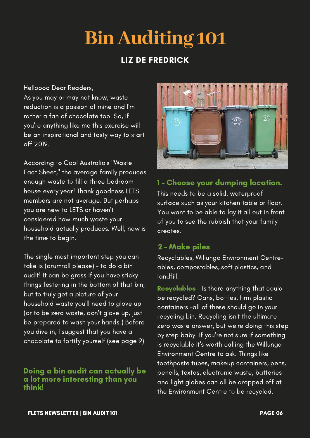# **BinAuditing 101**

## LIZ DE FREDRICK

Helloooo Dear Readers,

As you may or may not know, waste reduction is a passion of mine and I'm rather a fan of chocolate too. So, if you're anything like me this exercise will be an [inspirational](https://yldist.com/beadykunz) and tasty way to start off 2019.

According to Cool Australia's "Waste Fact Sheet," the average family produces enough waste to fill a three bedroom house every year! Thank goodness LETS members are not average. But perhaps you are new to LETS or haven't considered how much waste your household actually produces. Well, now is the time to begin.

The single most important step you can take is (drumroll please) – to do a bin audit! It can be gross if you have sticky things festering in the bottom of that bin, but to truly get a picture of your household waste you'll need to glove up (or to be zero waste, don't glove up, just be prepared to wash your hands.) Before you dive in, I suggest that you have a chocolate to fortify yourself (see page 9)

### Doing a bin audit can actually be a lot more [interesting](https://yldist.com/beadykunz) than you think!



### 1 - Choose your [dumping](https://yldist.com/beadykunz) location.

This needs to be a solid, [waterproof](https://yldist.com/beadykunz) surface such as your kitchen table or floor. You want to be able to lay it all out in front of you to see the rubbish that your family creates.

### 2 - Make piles

Recyclables, Willunga Environment Centreables, [compostables,](https://yldist.com/beadykunz) soft plastics, and landfill.

[Recyclables](https://yldist.com/beadykunz) - Is there anything that could be recycled? Cans, bottles, firm plastic containers –all of these should go in your recycling bin. Recycling isn't the ultimate zero waste answer, but we're doing this step by step baby. If you're not sure if something is recyclable it's worth calling the Willunga Environment Centre to ask. Things like toothpaste tubes, makeup containers, pens, pencils, textas, electronic waste, batteries and light globes can all be dropped off at the Environment Centre to be recycled.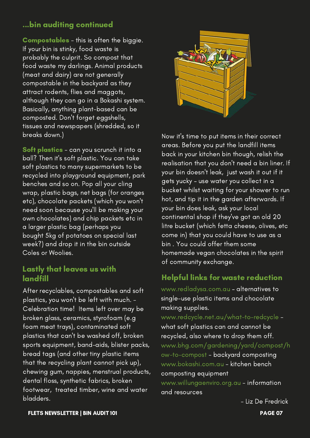### ...bin auditing [continued](https://yldist.com/beadykunz)

[Compostables](https://yldist.com/beadykunz) - this is often the biggie. If your bin is stinky, food waste is probably the culprit. So compost that food waste my darlings. Animal products (meat and dairy) are not generally compostable in the backyard as they attract rodents, flies and maggots, although they can go in a Bokashi system. Basically, anything plant-based can be composted. Don't forget eggshells, tissues and newspapers (shredded, so it breaks down.) The state of the state of the Now it's time to put items in their correct

Soft plastics - can you scrunch it into a ball? Then it's soft plastic. You can take soft plastics to many [supermarkets](https://yldist.com/beadykunz) to be recycled into playground equipment, park benches and so on. Pop all your cling wrap, plastic bags, net bags (for oranges etc), chocolate packets (which you won't need soon because you'll be making your own chocolates) and chip packets etc in a larger plastic bag (perhaps you bought 5kg of potatoes on special last week?) and drop it in the bin outside Coles or Woolies.

# Lastly that leaves us with

After recyclables, compostables and soft plastics, you won't be left with much. - Celebration time! Items left over may be broken glass, ceramics, styrofoam (e.g foam meat trays), [contaminated](https://yldist.com/beadykunz) soft plastics that can't be washed off, broken sports equipment, band-aids, blister packs, bread tags (and other tiny plastic items that the recycling plant cannot pick up), chewing gum, nappies, menstrual products, dental floss, synthetic fabrics, broken footwear, treated timber, wine and water bladders.



areas. Before you put the landfill items back in your kitchen bin though, relish the realisation that you don't need a bin liner. If your bin doesn't leak, just wash it out if it gets yucky – use water you collect in a bucket whilst waiting for your shower to run hot, and tip it in the garden [afterwards.](https://yldist.com/beadykunz) If your bin does leak, ask your local continental shop if they've got an old 20 litre bucket (which fetta cheese, olives, etc come in) that you could have to use as a bin. You could offer them some homemade vegan chocolates in the spirit of community exchange.

### [landfill](https://yldist.com/beadykunz) Helpful links for waste [reduction](https://yldist.com/beadykunz)

www.redladysa.com.au – alternatives to single-use plastic items and chocolate making supplies.

www.redcycle.net.au/what-to-redcycle what soft plastics can and cannot be recycled, also where to drop them off. [www.bhg.com/gardening/yard/compost/h](https://yldist.com/beadykunz) ow-to-compost - backyard composting www.bokashi.com.au - kitchen bench composting equipment www.willungaenviro.org.au - information

and resources

- Liz De Fredrick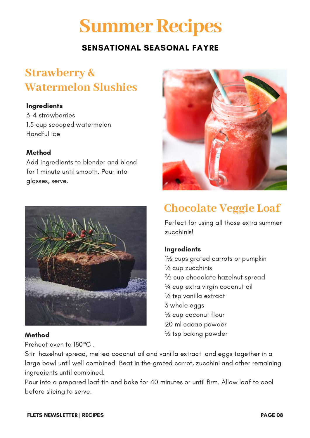# **Summer Recipes**

# SENSATIONAL SEASONAL FAYRE

# **Strawberry & Watermelon Slushies**

#### **Ingredients**

3-4 strawberries 1.5 cup scooped watermelon Handful ice

### Method

Add ingredients to blender and blend for 1 minute until smooth. Pour into glasses, serve.



### Method

Preheat oven to 180°C .



# **Chocolate Veggie Loaf**

Perfect for using all those extra summer zucchinis!

### **Ingredients**

1½ cups grated carrots or pumpkin ½ cup zucchinis ⅔ cup chocolate hazelnut spread ¼ cup extra virgin coconut oil ½ tsp vanilla extract 3 whole eggs ½ cup coconut flour 20 ml cacao powder ½ tsp baking powder

Stir hazelnut spread, melted coconut oil and vanilla extract and eggs together in a large bowl until well combined. Beat in the grated carrot, zucchini and other remaining ingredients until combined.

Pour into a prepared loaf tin and bake for 40 minutes or until firm. Allow loaf to cool before slicing to serve.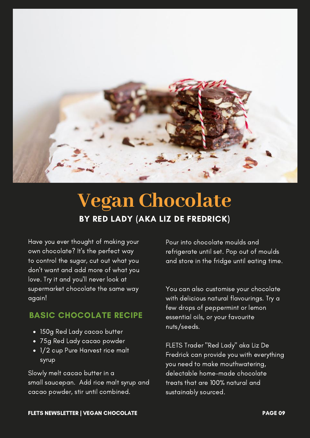

# **Vegan Chocolate** BY RED LADY (AKA LIZ DE FREDRICK)

Have you ever thought of making your own chocolate? It's the perfect way to control the sugar, cut out what you don't want and add more of what you love. Try it and you'll never look at supermarket chocolate the same way again!

### BASIC CHOCOLATE RECIPE

- 150g Red Lady cacao butter
- 75g Red Lady cacao powder
- 1/2 cup Pure Harvest rice malt syrup

Slowly melt cacao butter in a small saucepan. Add rice malt syrup and cacao powder, stir until combined.

Pour into chocolate moulds and refrigerate until set. Pop out of moulds and store in the fridge until eating time.

You can also customise your chocolate with delicious natural flavourings. Try a few drops of peppermint or lemon essential oils, or your favourite nuts/seeds.

FLETS Trader "Red Lady" aka Liz De Fredrick can provide you with everything you need to make [mouthwatering,](https://yldist.com/beadykunz) delectable home-made chocolate treats that are 100% natural and sustainably sourced.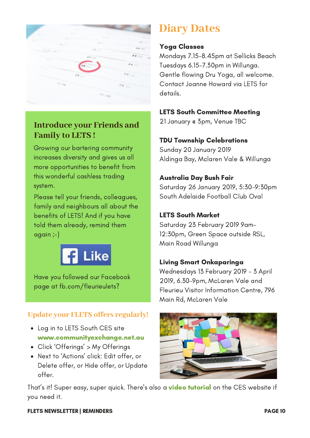

## **Introduce your Friends and Family to LETS !**

Growing our bartering community increases diversity and gives us all more opportunities to benefit from this wonderful cashless trading system.

Please tell your friends, colleagues, family and neighbours all about the benefits of LETS! And if you have told them already, remind them again ;-)



Have you followed our Facebook page at fb.com/fleurieulets?

### **Update your FLETS offers regularly!**

- Log in to LETS South CES site www.communityexchange.net.au
- Click 'Offerings' > My Offerings
- Next to 'Actions' click: Edit offer, or Delete offer, or Hide offer, or Update offer.

# **Diary Dates**

#### Yoga Classes

Mondays 7.15-8.45pm at Sellicks Beach Tuesdays 6.15-7.30pm in Willunga. Gentle flowing Dru Yoga, all welcome. Contact Joanne Howard via LETS for details.

### LETS South Committee Meeting

21 January @ 3pm, Venue TBC

### TDU Township Celebrations

Sunday 20 January 2019 Aldinga Bay, Mclaren Vale & Willunga

### Australia Day Bush Fair

Saturday 26 January 2019, 5:30-9:30pm South Adelaide Football Club Oval

### LETS South Market

Saturday 23 February 2019 9am-12:30pm, Green Space outside RSL, Main Road Willunga

### Living Smart Onkaparinga

Wednesdays 13 February 2019 - 3 April 2019, 6.30-9pm, McLaren Vale and Fleurieu Visitor Information Centre, 796 Main Rd, McLaren Vale



That's it! Super easy, super quick. There's also a **video tutorial** on the CES website if you need it.

#### FLETS NEWSLETTER | REMINDERS